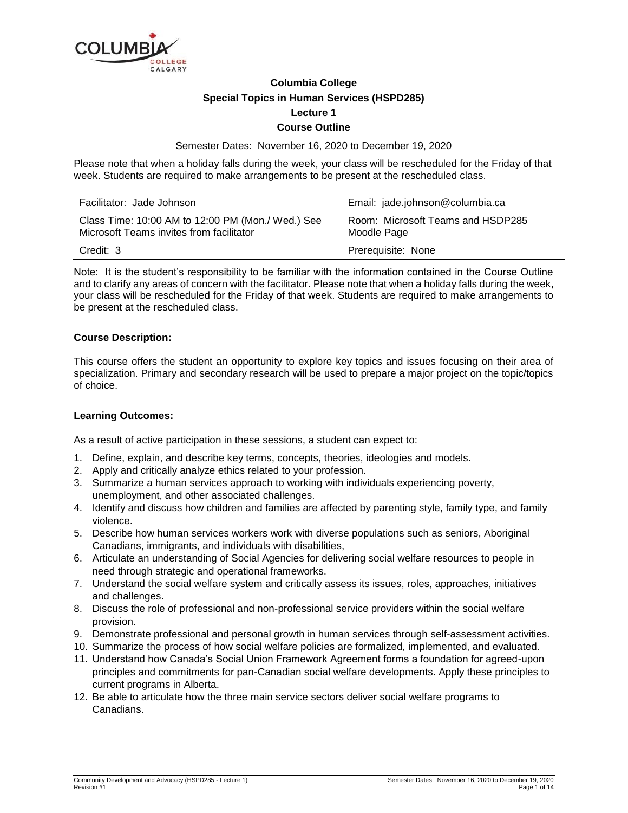

# **Columbia College Special Topics in Human Services (HSPD285) Lecture 1 Course Outline**

Semester Dates: November 16, 2020 to December 19, 2020

Please note that when a holiday falls during the week, your class will be rescheduled for the Friday of that week. Students are required to make arrangements to be present at the rescheduled class.

| Facilitator: Jade Johnson                                                                     | Email: jade.johnson@columbia.ca                  |
|-----------------------------------------------------------------------------------------------|--------------------------------------------------|
| Class Time: 10:00 AM to 12:00 PM (Mon./ Wed.) See<br>Microsoft Teams invites from facilitator | Room: Microsoft Teams and HSDP285<br>Moodle Page |
| Credit: 3                                                                                     | Prerequisite: None                               |

Note: It is the student's responsibility to be familiar with the information contained in the Course Outline and to clarify any areas of concern with the facilitator. Please note that when a holiday falls during the week, your class will be rescheduled for the Friday of that week. Students are required to make arrangements to be present at the rescheduled class.

# **Course Description:**

This course offers the student an opportunity to explore key topics and issues focusing on their area of specialization. Primary and secondary research will be used to prepare a major project on the topic/topics of choice.

# **Learning Outcomes:**

As a result of active participation in these sessions, a student can expect to:

- 1. Define, explain, and describe key terms, concepts, theories, ideologies and models.
- 2. Apply and critically analyze ethics related to your profession.
- 3. Summarize a human services approach to working with individuals experiencing poverty, unemployment, and other associated challenges.
- 4. Identify and discuss how children and families are affected by parenting style, family type, and family violence.
- 5. Describe how human services workers work with diverse populations such as seniors, Aboriginal Canadians, immigrants, and individuals with disabilities,
- 6. Articulate an understanding of Social Agencies for delivering social welfare resources to people in need through strategic and operational frameworks.
- 7. Understand the social welfare system and critically assess its issues, roles, approaches, initiatives and challenges.
- 8. Discuss the role of professional and non-professional service providers within the social welfare provision.
- 9. Demonstrate professional and personal growth in human services through self-assessment activities.
- 10. Summarize the process of how social welfare policies are formalized, implemented, and evaluated.
- 11. Understand how Canada's Social Union Framework Agreement forms a foundation for agreed-upon principles and commitments for pan-Canadian social welfare developments. Apply these principles to current programs in Alberta.
- 12. Be able to articulate how the three main service sectors deliver social welfare programs to Canadians.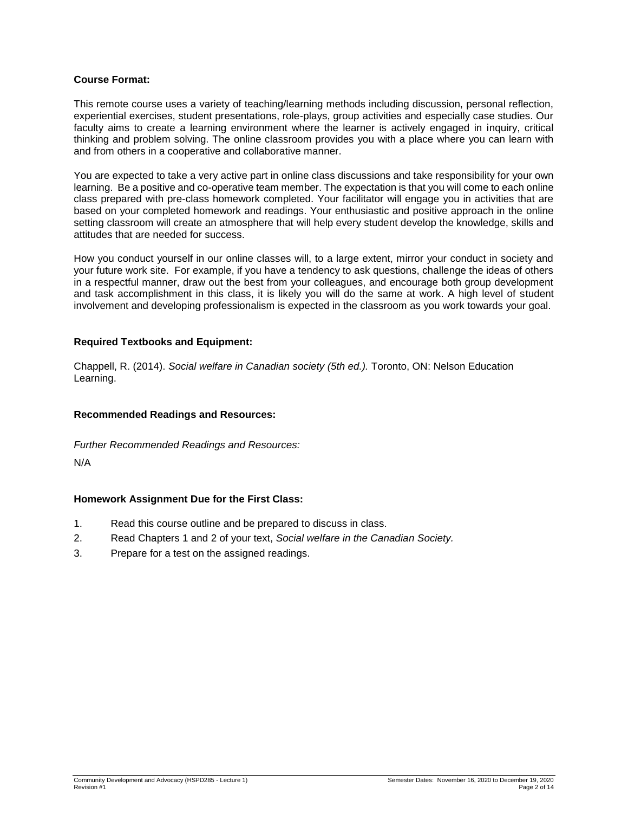### **Course Format:**

This remote course uses a variety of teaching/learning methods including discussion, personal reflection, experiential exercises, student presentations, role-plays, group activities and especially case studies. Our faculty aims to create a learning environment where the learner is actively engaged in inquiry, critical thinking and problem solving. The online classroom provides you with a place where you can learn with and from others in a cooperative and collaborative manner.

You are expected to take a very active part in online class discussions and take responsibility for your own learning. Be a positive and co-operative team member. The expectation is that you will come to each online class prepared with pre-class homework completed. Your facilitator will engage you in activities that are based on your completed homework and readings. Your enthusiastic and positive approach in the online setting classroom will create an atmosphere that will help every student develop the knowledge, skills and attitudes that are needed for success.

How you conduct yourself in our online classes will, to a large extent, mirror your conduct in society and your future work site. For example, if you have a tendency to ask questions, challenge the ideas of others in a respectful manner, draw out the best from your colleagues, and encourage both group development and task accomplishment in this class, it is likely you will do the same at work. A high level of student involvement and developing professionalism is expected in the classroom as you work towards your goal.

# **Required Textbooks and Equipment:**

Chappell, R. (2014). *Social welfare in Canadian society (5th ed.).* Toronto, ON: Nelson Education Learning.

#### **Recommended Readings and Resources:**

*Further Recommended Readings and Resources:*

N/A

# **Homework Assignment Due for the First Class:**

- 1. Read this course outline and be prepared to discuss in class.
- 2. Read Chapters 1 and 2 of your text, *Social welfare in the Canadian Society.*
- 3. Prepare for a test on the assigned readings.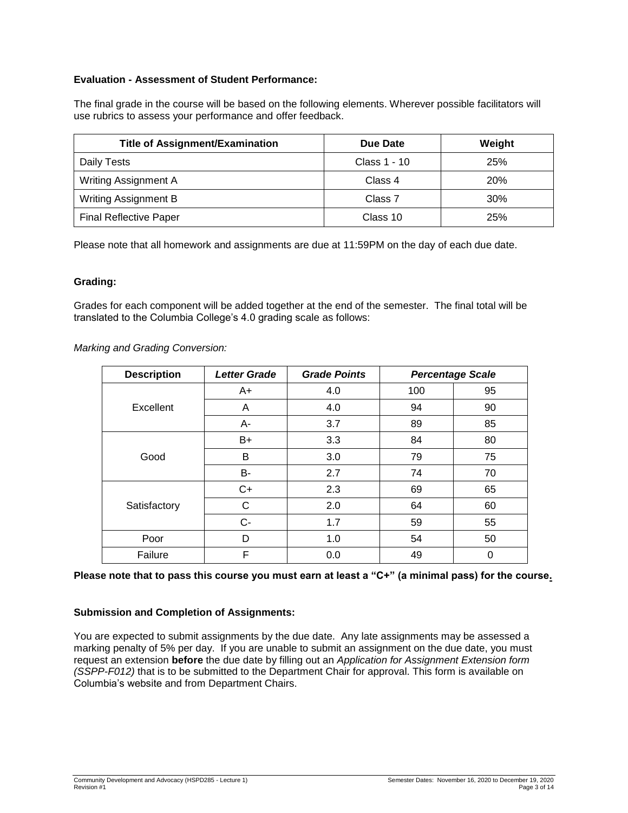# **Evaluation - Assessment of Student Performance:**

The final grade in the course will be based on the following elements. Wherever possible facilitators will use rubrics to assess your performance and offer feedback.

| <b>Title of Assignment/Examination</b> | Due Date     | Weight |
|----------------------------------------|--------------|--------|
| Daily Tests                            | Class 1 - 10 | 25%    |
| <b>Writing Assignment A</b>            | Class 4      | 20%    |
| <b>Writing Assignment B</b>            | Class 7      | 30%    |
| <b>Final Reflective Paper</b>          | Class 10     | 25%    |

Please note that all homework and assignments are due at 11:59PM on the day of each due date.

### **Grading:**

Grades for each component will be added together at the end of the semester. The final total will be translated to the Columbia College's 4.0 grading scale as follows:

| Marking and Grading Conversion: |  |
|---------------------------------|--|
|---------------------------------|--|

| <b>Description</b> | <b>Letter Grade</b> | <b>Grade Points</b> |     | <b>Percentage Scale</b> |
|--------------------|---------------------|---------------------|-----|-------------------------|
|                    | $A+$                | 4.0                 | 100 | 95                      |
| Excellent          | A                   | 4.0                 | 94  | 90                      |
|                    | А-                  | 3.7                 | 89  | 85                      |
|                    | $B+$                | 3.3                 | 84  | 80                      |
| Good               | B                   | 3.0                 | 79  | 75                      |
|                    | B-                  | 2.7                 | 74  | 70                      |
|                    | $C+$                | 2.3                 | 69  | 65                      |
| Satisfactory       | С                   | 2.0                 | 64  | 60                      |
|                    | $C -$               | 1.7                 | 59  | 55                      |
| Poor               | D                   | 1.0                 | 54  | 50                      |
| Failure            | F                   | 0.0                 | 49  | 0                       |

### **Please note that to pass this course you must earn at least a "C+" (a minimal pass) for the course.**

#### **Submission and Completion of Assignments:**

You are expected to submit assignments by the due date. Any late assignments may be assessed a marking penalty of 5% per day. If you are unable to submit an assignment on the due date, you must request an extension **before** the due date by filling out an *Application for Assignment Extension form (SSPP-F012)* that is to be submitted to the Department Chair for approval. This form is available on Columbia's website and from Department Chairs.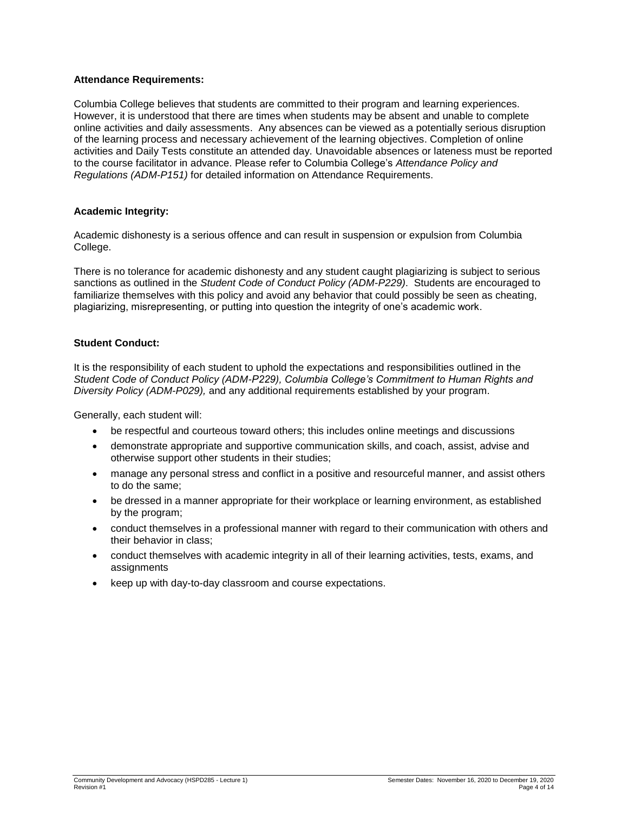# **Attendance Requirements:**

Columbia College believes that students are committed to their program and learning experiences. However, it is understood that there are times when students may be absent and unable to complete online activities and daily assessments. Any absences can be viewed as a potentially serious disruption of the learning process and necessary achievement of the learning objectives. Completion of online activities and Daily Tests constitute an attended day. Unavoidable absences or lateness must be reported to the course facilitator in advance. Please refer to Columbia College's *Attendance Policy and Regulations (ADM-P151)* for detailed information on Attendance Requirements.

### **Academic Integrity:**

Academic dishonesty is a serious offence and can result in suspension or expulsion from Columbia College.

There is no tolerance for academic dishonesty and any student caught plagiarizing is subject to serious sanctions as outlined in the *Student Code of Conduct Policy (ADM-P229)*. Students are encouraged to familiarize themselves with this policy and avoid any behavior that could possibly be seen as cheating, plagiarizing, misrepresenting, or putting into question the integrity of one's academic work.

### **Student Conduct:**

It is the responsibility of each student to uphold the expectations and responsibilities outlined in the *Student Code of Conduct Policy (ADM-P229), Columbia College's Commitment to Human Rights and Diversity Policy (ADM-P029),* and any additional requirements established by your program.

Generally, each student will:

- be respectful and courteous toward others; this includes online meetings and discussions
- demonstrate appropriate and supportive communication skills, and coach, assist, advise and otherwise support other students in their studies;
- manage any personal stress and conflict in a positive and resourceful manner, and assist others to do the same;
- be dressed in a manner appropriate for their workplace or learning environment, as established by the program;
- conduct themselves in a professional manner with regard to their communication with others and their behavior in class;
- conduct themselves with academic integrity in all of their learning activities, tests, exams, and assignments
- keep up with day-to-day classroom and course expectations.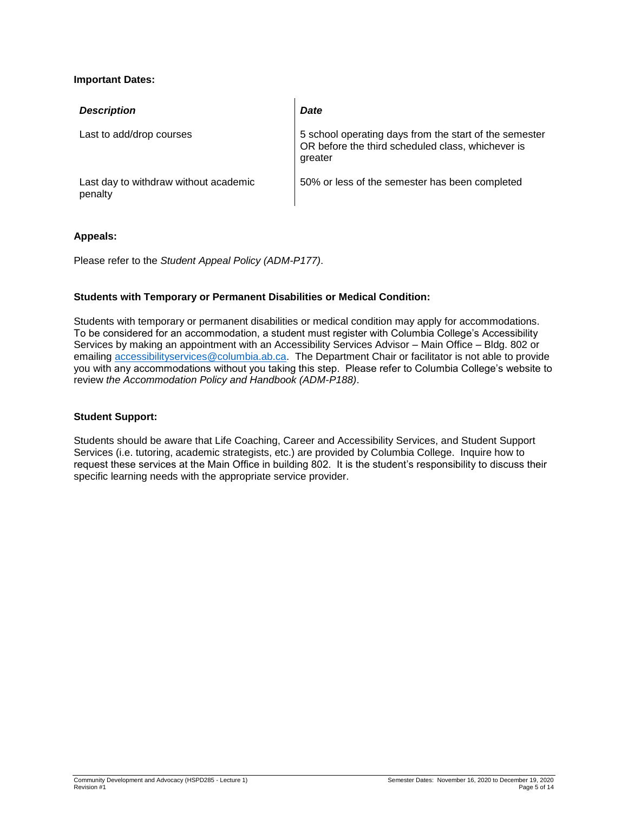# **Important Dates:**

| <b>Description</b>                               | <b>Date</b>                                                                                                            |
|--------------------------------------------------|------------------------------------------------------------------------------------------------------------------------|
| Last to add/drop courses                         | 5 school operating days from the start of the semester<br>OR before the third scheduled class, whichever is<br>greater |
| Last day to withdraw without academic<br>penalty | 50% or less of the semester has been completed                                                                         |

### **Appeals:**

Please refer to the *Student Appeal Policy (ADM-P177)*.

# **Students with Temporary or Permanent Disabilities or Medical Condition:**

Students with temporary or permanent disabilities or medical condition may apply for accommodations. To be considered for an accommodation, a student must register with Columbia College's Accessibility Services by making an appointment with an Accessibility Services Advisor – Main Office – Bldg. 802 or emailing [accessibilityservices@columbia.ab.ca.](mailto:accessibilityservices@columbia.ab.ca) The Department Chair or facilitator is not able to provide you with any accommodations without you taking this step. Please refer to Columbia College's website to review *the Accommodation Policy and Handbook (ADM-P188)*.

#### **Student Support:**

Students should be aware that Life Coaching, Career and Accessibility Services, and Student Support Services (i.e. tutoring, academic strategists, etc.) are provided by Columbia College. Inquire how to request these services at the Main Office in building 802. It is the student's responsibility to discuss their specific learning needs with the appropriate service provider.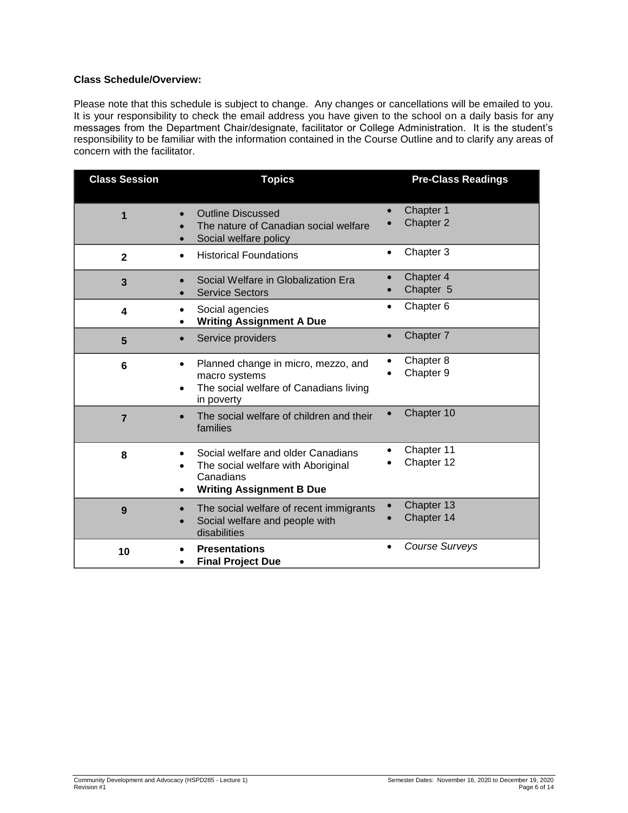# **Class Schedule/Overview:**

Please note that this schedule is subject to change. Any changes or cancellations will be emailed to you. It is your responsibility to check the email address you have given to the school on a daily basis for any messages from the Department Chair/designate, facilitator or College Administration. It is the student's responsibility to be familiar with the information contained in the Course Outline and to clarify any areas of concern with the facilitator.

| <b>Class Session</b> | <b>Topics</b>                                                                                                                          | <b>Pre-Class Readings</b>          |
|----------------------|----------------------------------------------------------------------------------------------------------------------------------------|------------------------------------|
| 1                    | <b>Outline Discussed</b><br>The nature of Canadian social welfare<br>Social welfare policy                                             | Chapter 1<br>Chapter 2             |
| $\mathbf{2}$         | <b>Historical Foundations</b><br>$\bullet$                                                                                             | Chapter 3<br>$\bullet$             |
| 3                    | Social Welfare in Globalization Era<br><b>Service Sectors</b>                                                                          | Chapter 4<br>Chapter 5             |
| 4                    | Social agencies<br><b>Writing Assignment A Due</b><br>$\bullet$                                                                        | Chapter 6<br>$\bullet$             |
| 5                    | Service providers<br>$\bullet$                                                                                                         | Chapter 7<br>$\bullet$             |
| 6                    | Planned change in micro, mezzo, and<br>$\bullet$<br>macro systems<br>The social welfare of Canadians living<br>$\bullet$<br>in poverty | Chapter 8<br>Chapter 9             |
| $\overline{7}$       | The social welfare of children and their<br>families                                                                                   | Chapter 10                         |
| 8                    | Social welfare and older Canadians<br>The social welfare with Aboriginal<br>Canadians<br><b>Writing Assignment B Due</b>               | Chapter 11<br>Chapter 12           |
| 9                    | The social welfare of recent immigrants<br>$\bullet$<br>Social welfare and people with<br>$\bullet$<br>disabilities                    | Chapter 13<br>Chapter 14           |
| 10                   | <b>Presentations</b><br><b>Final Project Due</b><br>٠                                                                                  | <b>Course Surveys</b><br>$\bullet$ |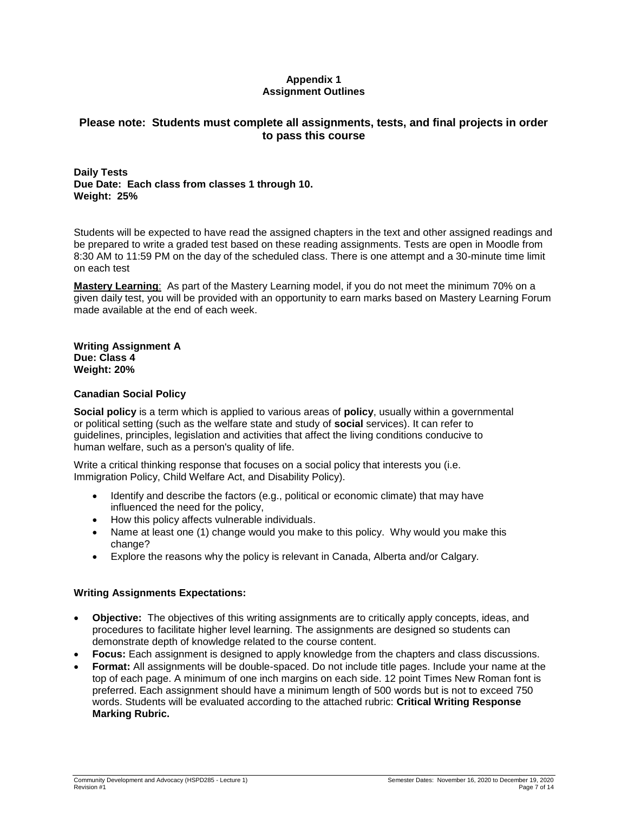# **Appendix 1 Assignment Outlines**

# **Please note: Students must complete all assignments, tests, and final projects in order to pass this course**

**Daily Tests Due Date: Each class from classes 1 through 10. Weight: 25%**

Students will be expected to have read the assigned chapters in the text and other assigned readings and be prepared to write a graded test based on these reading assignments. Tests are open in Moodle from 8:30 AM to 11:59 PM on the day of the scheduled class. There is one attempt and a 30-minute time limit on each test

**Mastery Learning**: As part of the Mastery Learning model, if you do not meet the minimum 70% on a given daily test, you will be provided with an opportunity to earn marks based on Mastery Learning Forum made available at the end of each week.

**Writing Assignment A Due: Class 4 Weight: 20%**

### **Canadian Social Policy**

**Social policy** is a term which is applied to various areas of **policy**, usually within a governmental or political setting (such as the welfare state and study of **social** services). It can refer to guidelines, principles, legislation and activities that affect the living conditions conducive to human welfare, such as a person's quality of life.

Write a critical thinking response that focuses on a social policy that interests you (i.e. Immigration Policy, Child Welfare Act, and Disability Policy).

- Identify and describe the factors (e.g., political or economic climate) that may have influenced the need for the policy,
- How this policy affects vulnerable individuals.
- Name at least one (1) change would you make to this policy. Why would you make this change?
- Explore the reasons why the policy is relevant in Canada, Alberta and/or Calgary.

# **Writing Assignments Expectations:**

- **Objective:** The objectives of this writing assignments are to critically apply concepts, ideas, and procedures to facilitate higher level learning. The assignments are designed so students can demonstrate depth of knowledge related to the course content.
- **Focus:** Each assignment is designed to apply knowledge from the chapters and class discussions.
- **Format:** All assignments will be double-spaced. Do not include title pages. Include your name at the top of each page. A minimum of one inch margins on each side. 12 point Times New Roman font is preferred. Each assignment should have a minimum length of 500 words but is not to exceed 750 words. Students will be evaluated according to the attached rubric: **Critical Writing Response Marking Rubric.**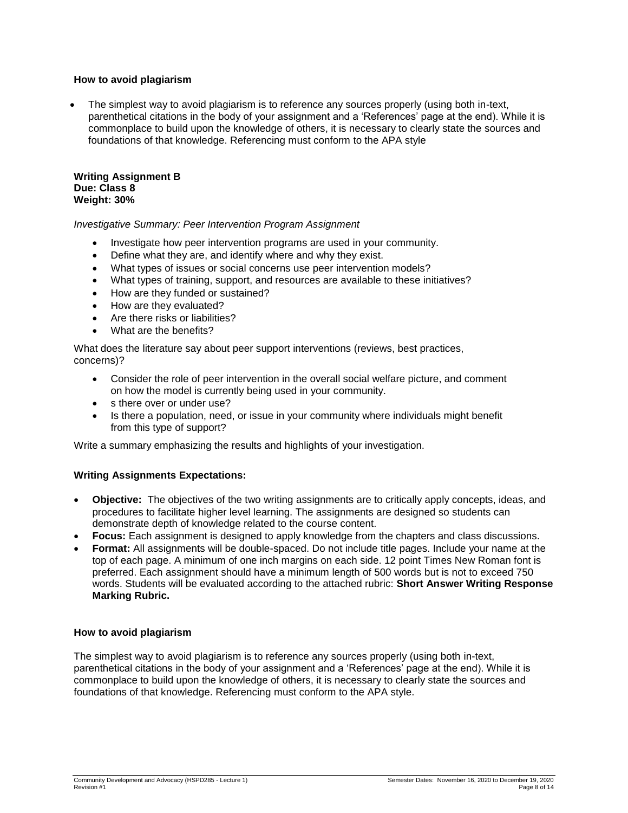### **How to avoid plagiarism**

 The simplest way to avoid plagiarism is to reference any sources properly (using both in-text, parenthetical citations in the body of your assignment and a 'References' page at the end). While it is commonplace to build upon the knowledge of others, it is necessary to clearly state the sources and foundations of that knowledge. Referencing must conform to the APA style

**Writing Assignment B Due: Class 8 Weight: 30%**

### *Investigative Summary: Peer Intervention Program Assignment*

- Investigate how peer intervention programs are used in your community.
- Define what they are, and identify where and why they exist.
- What types of issues or social concerns use peer intervention models?
- What types of training, support, and resources are available to these initiatives?
- How are they funded or sustained?
- How are they evaluated?
- Are there risks or liabilities?
- What are the benefits?

What does the literature say about peer support interventions (reviews, best practices, concerns)?

- Consider the role of peer intervention in the overall social welfare picture, and comment on how the model is currently being used in your community.
- s there over or under use?
- Is there a population, need, or issue in your community where individuals might benefit from this type of support?

Write a summary emphasizing the results and highlights of your investigation.

#### **Writing Assignments Expectations:**

- **Objective:** The objectives of the two writing assignments are to critically apply concepts, ideas, and procedures to facilitate higher level learning. The assignments are designed so students can demonstrate depth of knowledge related to the course content.
- **Focus:** Each assignment is designed to apply knowledge from the chapters and class discussions.
- **Format:** All assignments will be double-spaced. Do not include title pages. Include your name at the top of each page. A minimum of one inch margins on each side. 12 point Times New Roman font is preferred. Each assignment should have a minimum length of 500 words but is not to exceed 750 words. Students will be evaluated according to the attached rubric: **Short Answer Writing Response Marking Rubric.**

#### **How to avoid plagiarism**

The simplest way to avoid plagiarism is to reference any sources properly (using both in-text, parenthetical citations in the body of your assignment and a 'References' page at the end). While it is commonplace to build upon the knowledge of others, it is necessary to clearly state the sources and foundations of that knowledge. Referencing must conform to the APA style.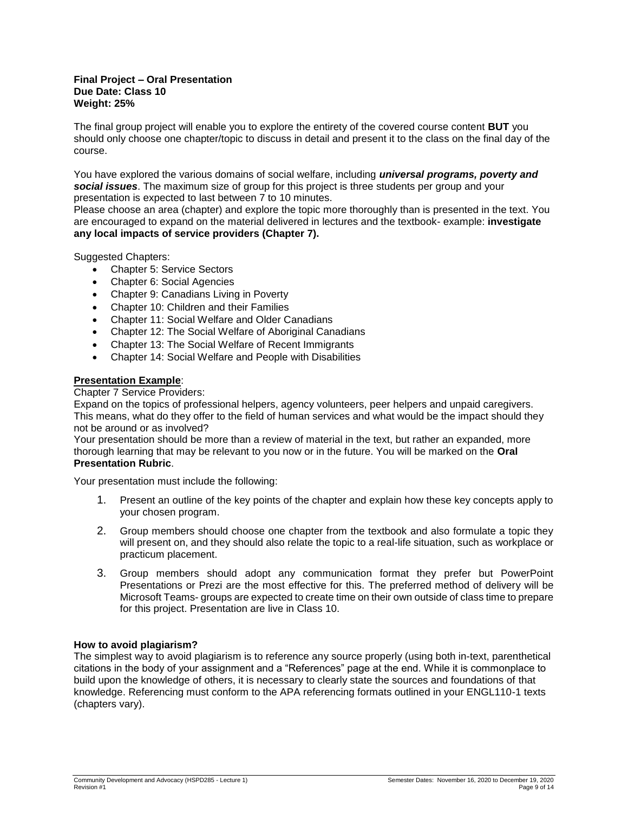#### **Final Project – Oral Presentation Due Date: Class 10 Weight: 25%**

The final group project will enable you to explore the entirety of the covered course content **BUT** you should only choose one chapter/topic to discuss in detail and present it to the class on the final day of the course.

You have explored the various domains of social welfare, including *universal programs, poverty and social issues*. The maximum size of group for this project is three students per group and your presentation is expected to last between 7 to 10 minutes.

Please choose an area (chapter) and explore the topic more thoroughly than is presented in the text. You are encouraged to expand on the material delivered in lectures and the textbook- example: **investigate any local impacts of service providers (Chapter 7).**

Suggested Chapters:

- Chapter 5: Service Sectors
- Chapter 6: Social Agencies
- Chapter 9: Canadians Living in Poverty
- Chapter 10: Children and their Families
- Chapter 11: Social Welfare and Older Canadians
- Chapter 12: The Social Welfare of Aboriginal Canadians
- Chapter 13: The Social Welfare of Recent Immigrants
- Chapter 14: Social Welfare and People with Disabilities

### **Presentation Example**:

#### Chapter 7 Service Providers:

Expand on the topics of professional helpers, agency volunteers, peer helpers and unpaid caregivers. This means, what do they offer to the field of human services and what would be the impact should they not be around or as involved?

Your presentation should be more than a review of material in the text, but rather an expanded, more thorough learning that may be relevant to you now or in the future. You will be marked on the **Oral Presentation Rubric**.

Your presentation must include the following:

- 1. Present an outline of the key points of the chapter and explain how these key concepts apply to your chosen program.
- 2. Group members should choose one chapter from the textbook and also formulate a topic they will present on, and they should also relate the topic to a real-life situation, such as workplace or practicum placement.
- 3. Group members should adopt any communication format they prefer but PowerPoint Presentations or Prezi are the most effective for this. The preferred method of delivery will be Microsoft Teams- groups are expected to create time on their own outside of class time to prepare for this project. Presentation are live in Class 10.

#### **How to avoid plagiarism?**

The simplest way to avoid plagiarism is to reference any source properly (using both in-text, parenthetical citations in the body of your assignment and a "References" page at the end. While it is commonplace to build upon the knowledge of others, it is necessary to clearly state the sources and foundations of that knowledge. Referencing must conform to the APA referencing formats outlined in your ENGL110-1 texts (chapters vary).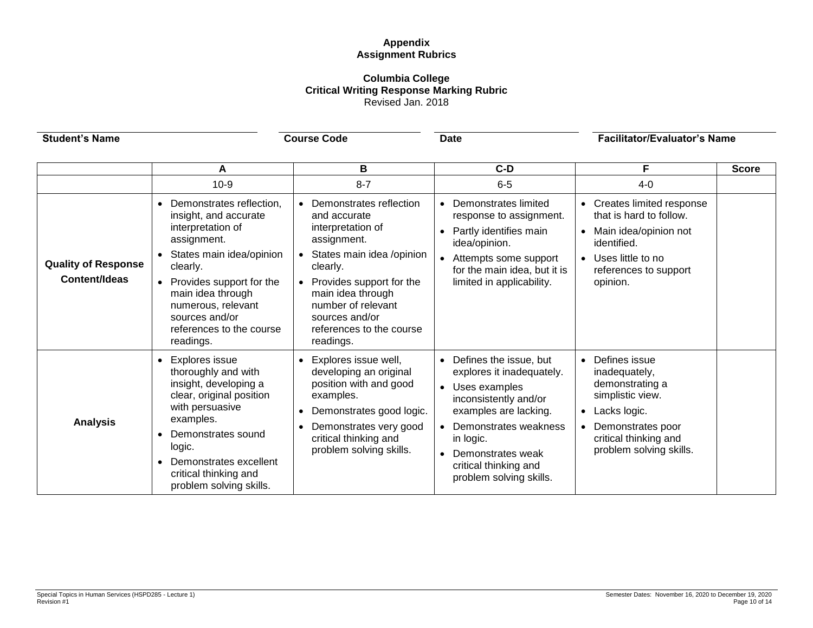# **Appendix Assignment Rubrics**

### **Columbia College Critical Writing Response Marking Rubric** Revised Jan. 2018

| <b>Student's Name</b>                              | <b>Course Code</b>                                                                                                                                                                                                                                                                                  |                                                                                                                                                                                                                                                                   | <b>Date</b>                                                                                                                                                                                                                                 | <b>Facilitator/Evaluator's Name</b>                                                                                                                                                      |              |
|----------------------------------------------------|-----------------------------------------------------------------------------------------------------------------------------------------------------------------------------------------------------------------------------------------------------------------------------------------------------|-------------------------------------------------------------------------------------------------------------------------------------------------------------------------------------------------------------------------------------------------------------------|---------------------------------------------------------------------------------------------------------------------------------------------------------------------------------------------------------------------------------------------|------------------------------------------------------------------------------------------------------------------------------------------------------------------------------------------|--------------|
|                                                    | A                                                                                                                                                                                                                                                                                                   | в                                                                                                                                                                                                                                                                 | $C-D$                                                                                                                                                                                                                                       | F                                                                                                                                                                                        | <b>Score</b> |
| <b>Quality of Response</b><br><b>Content/Ideas</b> | $10-9$<br>Demonstrates reflection,<br>$\bullet$<br>insight, and accurate<br>interpretation of<br>assignment.<br>States main idea/opinion<br>clearly.<br>Provides support for the<br>$\bullet$<br>main idea through<br>numerous, relevant<br>sources and/or<br>references to the course<br>readings. | $8 - 7$<br>Demonstrates reflection<br>and accurate<br>interpretation of<br>assignment.<br>States main idea /opinion<br>clearly.<br>Provides support for the<br>main idea through<br>number of relevant<br>sources and/or<br>references to the course<br>readings. | $6-5$<br>• Demonstrates limited<br>response to assignment.<br>Partly identifies main<br>$\bullet$<br>idea/opinion.<br>• Attempts some support<br>for the main idea, but it is<br>limited in applicability.                                  | $4-0$<br>Creates limited response<br>$\bullet$<br>that is hard to follow.<br>Main idea/opinion not<br>identified.<br>Uses little to no<br>$\bullet$<br>references to support<br>opinion. |              |
| <b>Analysis</b>                                    | <b>Explores issue</b><br>$\bullet$<br>thoroughly and with<br>insight, developing a<br>clear, original position<br>with persuasive<br>examples.<br>Demonstrates sound<br>logic.<br>Demonstrates excellent<br>$\bullet$<br>critical thinking and<br>problem solving skills.                           | Explores issue well,<br>developing an original<br>position with and good<br>examples.<br>Demonstrates good logic.<br>$\bullet$<br>Demonstrates very good<br>critical thinking and<br>problem solving skills.                                                      | • Defines the issue, but<br>explores it inadequately.<br>• Uses examples<br>inconsistently and/or<br>examples are lacking.<br>• Demonstrates weakness<br>in logic.<br>Demonstrates weak<br>critical thinking and<br>problem solving skills. | Defines issue<br>$\bullet$<br>inadequately,<br>demonstrating a<br>simplistic view.<br>Lacks logic.<br>$\bullet$<br>Demonstrates poor<br>critical thinking and<br>problem solving skills. |              |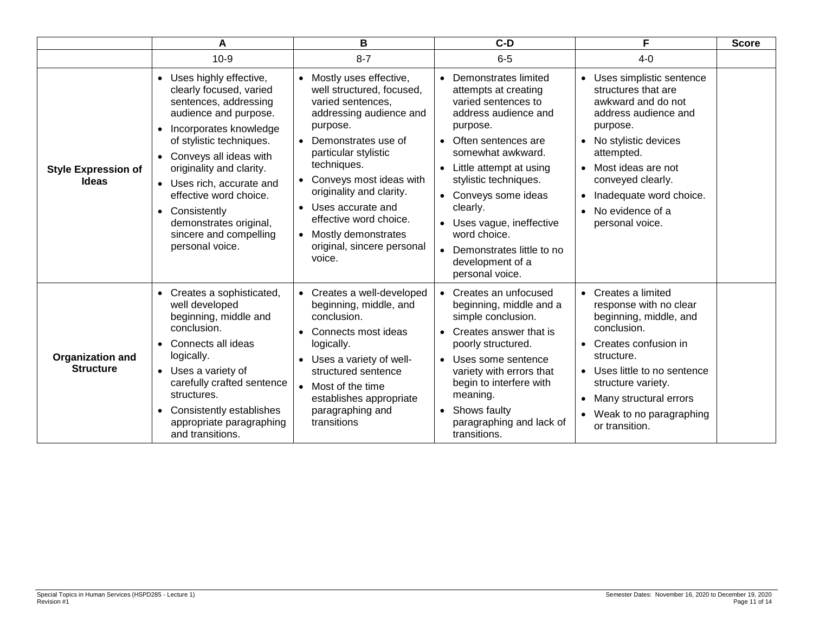|                                             | A                                                                                                                                                                                                                                                                                                                                                                                | в                                                                                                                                                                                                                                                                                                                                                                     | $C-D$                                                                                                                                                                                                                                                                                                                                                            | F                                                                                                                                                                                                                                                                                                   | <b>Score</b> |
|---------------------------------------------|----------------------------------------------------------------------------------------------------------------------------------------------------------------------------------------------------------------------------------------------------------------------------------------------------------------------------------------------------------------------------------|-----------------------------------------------------------------------------------------------------------------------------------------------------------------------------------------------------------------------------------------------------------------------------------------------------------------------------------------------------------------------|------------------------------------------------------------------------------------------------------------------------------------------------------------------------------------------------------------------------------------------------------------------------------------------------------------------------------------------------------------------|-----------------------------------------------------------------------------------------------------------------------------------------------------------------------------------------------------------------------------------------------------------------------------------------------------|--------------|
|                                             | $10-9$                                                                                                                                                                                                                                                                                                                                                                           | $8 - 7$                                                                                                                                                                                                                                                                                                                                                               | $6-5$                                                                                                                                                                                                                                                                                                                                                            | $4 - 0$                                                                                                                                                                                                                                                                                             |              |
| <b>Style Expression of</b><br><b>Ideas</b>  | • Uses highly effective,<br>clearly focused, varied<br>sentences, addressing<br>audience and purpose.<br>Incorporates knowledge<br>$\bullet$<br>of stylistic techniques.<br>• Conveys all ideas with<br>originality and clarity.<br>• Uses rich, accurate and<br>effective word choice.<br>• Consistently<br>demonstrates original,<br>sincere and compelling<br>personal voice. | • Mostly uses effective,<br>well structured, focused,<br>varied sentences,<br>addressing audience and<br>purpose.<br>Demonstrates use of<br>$\bullet$<br>particular stylistic<br>techniques.<br>Conveys most ideas with<br>originality and clarity.<br>• Uses accurate and<br>effective word choice.<br>• Mostly demonstrates<br>original, sincere personal<br>voice. | Demonstrates limited<br>attempts at creating<br>varied sentences to<br>address audience and<br>purpose.<br>• Often sentences are<br>somewhat awkward.<br>Little attempt at using<br>stylistic techniques.<br>• Conveys some ideas<br>clearly.<br>• Uses vague, ineffective<br>word choice.<br>• Demonstrates little to no<br>development of a<br>personal voice. | Uses simplistic sentence<br>structures that are<br>awkward and do not<br>address audience and<br>purpose.<br>No stylistic devices<br>$\bullet$<br>attempted.<br>Most ideas are not<br>$\bullet$<br>conveyed clearly.<br>Inadequate word choice.<br>No evidence of a<br>$\bullet$<br>personal voice. |              |
| <b>Organization and</b><br><b>Structure</b> | • Creates a sophisticated,<br>well developed<br>beginning, middle and<br>conclusion.<br>Connects all ideas<br>$\bullet$<br>logically.<br>• Uses a variety of<br>carefully crafted sentence<br>structures.<br>Consistently establishes<br>$\bullet$<br>appropriate paragraphing<br>and transitions.                                                                               | • Creates a well-developed<br>beginning, middle, and<br>conclusion.<br>Connects most ideas<br>$\bullet$<br>logically.<br>• Uses a variety of well-<br>structured sentence<br>• Most of the time<br>establishes appropriate<br>paragraphing and<br>transitions                                                                                                         | • Creates an unfocused<br>beginning, middle and a<br>simple conclusion.<br>• Creates answer that is<br>poorly structured.<br>• Uses some sentence<br>variety with errors that<br>begin to interfere with<br>meaning.<br>• Shows faulty<br>paragraphing and lack of<br>transitions.                                                                               | Creates a limited<br>response with no clear<br>beginning, middle, and<br>conclusion.<br>Creates confusion in<br>$\bullet$<br>structure.<br>Uses little to no sentence<br>$\bullet$<br>structure variety.<br>Many structural errors<br>Weak to no paragraphing<br>$\bullet$<br>or transition.        |              |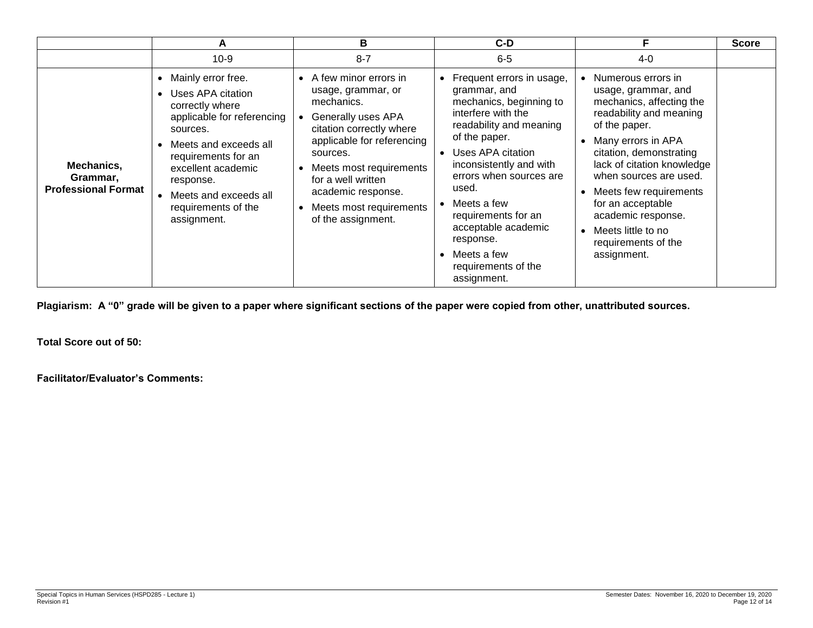|                                                      | А                                                                                                                                                                                                                                                      | В                                                                                                                                                                                                                                                                               | C-D                                                                                                                                                                                                                                                                                                                                                         |                                                                                                                                                                                                                                                                                                                                                                 | <b>Score</b> |
|------------------------------------------------------|--------------------------------------------------------------------------------------------------------------------------------------------------------------------------------------------------------------------------------------------------------|---------------------------------------------------------------------------------------------------------------------------------------------------------------------------------------------------------------------------------------------------------------------------------|-------------------------------------------------------------------------------------------------------------------------------------------------------------------------------------------------------------------------------------------------------------------------------------------------------------------------------------------------------------|-----------------------------------------------------------------------------------------------------------------------------------------------------------------------------------------------------------------------------------------------------------------------------------------------------------------------------------------------------------------|--------------|
|                                                      | $10-9$                                                                                                                                                                                                                                                 | $8 - 7$                                                                                                                                                                                                                                                                         | $6-5$                                                                                                                                                                                                                                                                                                                                                       | $4 - 0$                                                                                                                                                                                                                                                                                                                                                         |              |
| Mechanics,<br>Grammar,<br><b>Professional Format</b> | Mainly error free.<br>Uses APA citation<br>correctly where<br>applicable for referencing<br>sources.<br>Meets and exceeds all<br>requirements for an<br>excellent academic<br>response.<br>Meets and exceeds all<br>requirements of the<br>assignment. | • A few minor errors in<br>usage, grammar, or<br>mechanics.<br>Generally uses APA<br>citation correctly where<br>applicable for referencing<br>sources.<br>Meets most requirements<br>for a well written<br>academic response.<br>Meets most requirements<br>of the assignment. | • Frequent errors in usage,<br>grammar, and<br>mechanics, beginning to<br>interfere with the<br>readability and meaning<br>of the paper.<br>Uses APA citation<br>inconsistently and with<br>errors when sources are<br>used.<br>Meets a few<br>requirements for an<br>acceptable academic<br>response.<br>Meets a few<br>requirements of the<br>assignment. | • Numerous errors in<br>usage, grammar, and<br>mechanics, affecting the<br>readability and meaning<br>of the paper.<br>Many errors in APA<br>citation, demonstrating<br>lack of citation knowledge<br>when sources are used.<br>Meets few requirements<br>for an acceptable<br>academic response.<br>• Meets little to no<br>requirements of the<br>assignment. |              |

**Plagiarism: A "0" grade will be given to a paper where significant sections of the paper were copied from other, unattributed sources.**

**Total Score out of 50:**

**Facilitator/Evaluator's Comments:**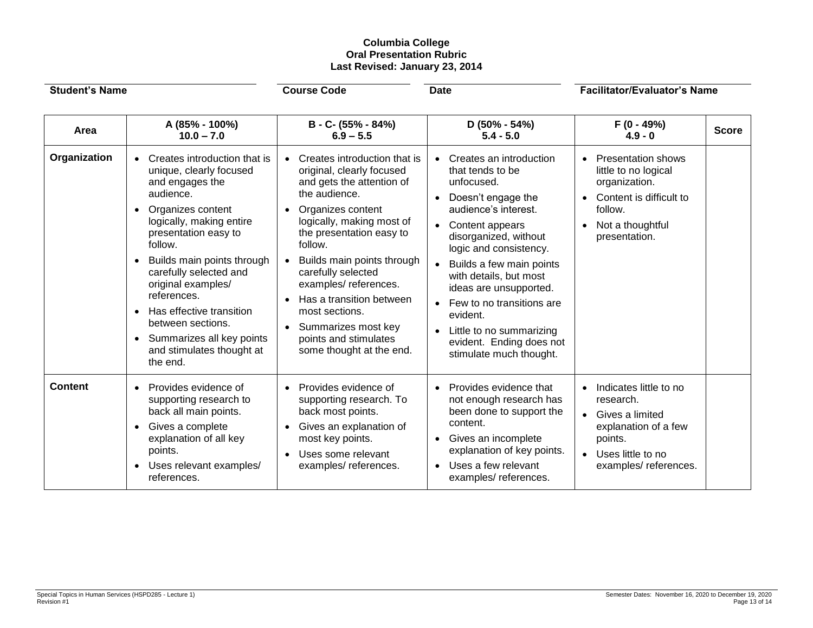# **Columbia College Oral Presentation Rubric Last Revised: January 23, 2014**

| <b>Student's Name</b> |                                                                                                                                                                                                                                                                                                                                                                                                                           | <b>Course Code</b><br><b>Date</b>                                                                                                                                                                                                                                                                                                                                                                            |                                                                                                                                                                                                                                                                                                                                                                                                        | <b>Facilitator/Evaluator's Name</b>                                                                                                                 |  |
|-----------------------|---------------------------------------------------------------------------------------------------------------------------------------------------------------------------------------------------------------------------------------------------------------------------------------------------------------------------------------------------------------------------------------------------------------------------|--------------------------------------------------------------------------------------------------------------------------------------------------------------------------------------------------------------------------------------------------------------------------------------------------------------------------------------------------------------------------------------------------------------|--------------------------------------------------------------------------------------------------------------------------------------------------------------------------------------------------------------------------------------------------------------------------------------------------------------------------------------------------------------------------------------------------------|-----------------------------------------------------------------------------------------------------------------------------------------------------|--|
| Area                  | A (85% - 100%)<br>$10.0 - 7.0$                                                                                                                                                                                                                                                                                                                                                                                            | B - C- (55% - 84%)<br>$6.9 - 5.5$                                                                                                                                                                                                                                                                                                                                                                            | $D(50\% - 54\%)$<br>$5.4 - 5.0$                                                                                                                                                                                                                                                                                                                                                                        | $F(0 - 49%)$<br><b>Score</b><br>$4.9 - 0$                                                                                                           |  |
| Organization          | Creates introduction that is<br>unique, clearly focused<br>and engages the<br>audience.<br>Organizes content<br>logically, making entire<br>presentation easy to<br>follow.<br>Builds main points through<br>$\bullet$<br>carefully selected and<br>original examples/<br>references.<br>Has effective transition<br>between sections.<br>Summarizes all key points<br>$\bullet$<br>and stimulates thought at<br>the end. | • Creates introduction that is<br>original, clearly focused<br>and gets the attention of<br>the audience.<br>Organizes content<br>logically, making most of<br>the presentation easy to<br>follow.<br>• Builds main points through<br>carefully selected<br>examples/references.<br>Has a transition between<br>most sections.<br>• Summarizes most key<br>points and stimulates<br>some thought at the end. | Creates an introduction<br>that tends to be<br>unfocused.<br>Doesn't engage the<br>audience's interest.<br>Content appears<br>disorganized, without<br>logic and consistency.<br>Builds a few main points<br>with details, but most<br>ideas are unsupported.<br>Few to no transitions are<br>$\bullet$<br>evident.<br>Little to no summarizing<br>evident. Ending does not<br>stimulate much thought. | <b>Presentation shows</b><br>little to no logical<br>organization.<br>Content is difficult to<br>follow.<br>Not a thoughtful<br>presentation.       |  |
| <b>Content</b>        | Provides evidence of<br>supporting research to<br>back all main points.<br>Gives a complete<br>explanation of all key<br>points.<br>Uses relevant examples/<br>$\bullet$<br>references.                                                                                                                                                                                                                                   | Provides evidence of<br>supporting research. To<br>back most points.<br>Gives an explanation of<br>most key points.<br>Uses some relevant<br>$\bullet$<br>examples/references.                                                                                                                                                                                                                               | Provides evidence that<br>not enough research has<br>been done to support the<br>content.<br>Gives an incomplete<br>explanation of key points.<br>Uses a few relevant<br>examples/references.                                                                                                                                                                                                          | Indicates little to no<br>research.<br>Gives a limited<br>explanation of a few<br>points.<br>Uses little to no<br>$\bullet$<br>examples/references. |  |